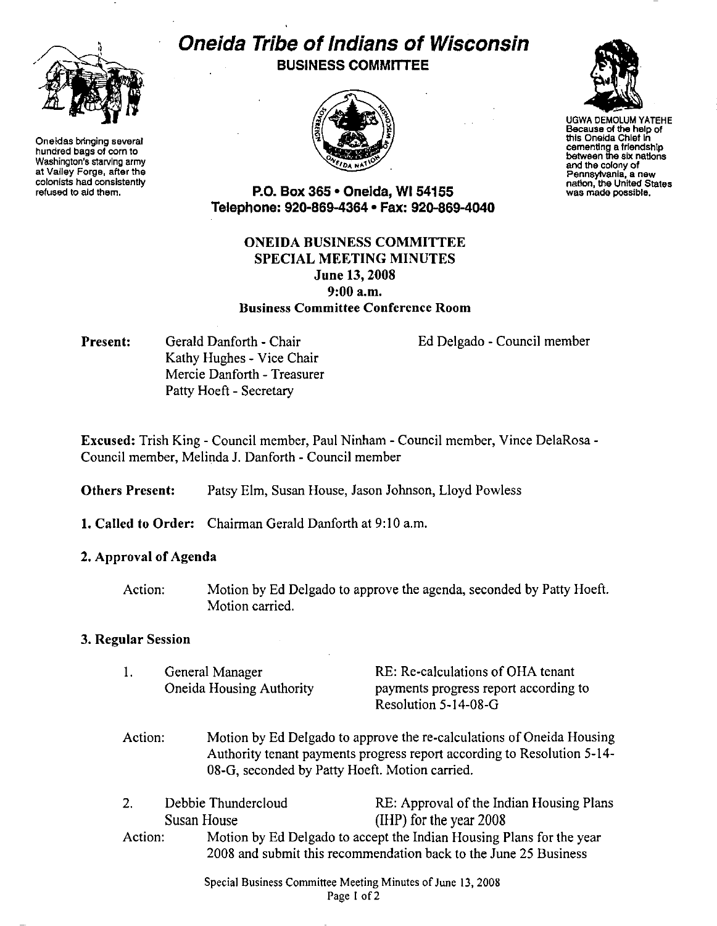

Oneidas bringing several hundred bags of com to Washington's starving army at Valley Forge, after the colonists had consistently refused to aid them.

# Oneida Tribe of Indians of Wisconsin **BUSINESS COMMITTEE**





UGWA DEMOLUM YATEHE Because of the help of this Oneida Chief In cementing a friendship between the six nations end the colony of Pennsytvania, a new nation, the United States<br>was made possible.

P.O. Box 365 • Oneida, WI 54155 Telephone: 920·869-4364 • Fax: 920.869-4040

## ONEIDA BUSINESS COMMITTEE SPECIAL MEETING MINUTES June 13, 2008 9:00a.m. Business Committee Conference Room

Present: Gerald Danforth - Chair Kathy Hughes - Vice Chair Mercie Danforth- Treasurer Patty Hoeft - Secretary

Ed Delgado - Council member

Excused: Trish King - Council member, Paul Ninham - Council member, Vince DelaRosa-Council member, Melinda J. Danforth- Council member

- Others Present: Patsy Elm, Susan House, Jason Johnson, Lloyd Powless
- 1. Called to Order: Chairman Gerald Danforth at 9:10 a.m.

#### 2. Approval of Agenda

Action: Motion by Ed Delgado to approve the agenda, seconded by Patty Hoeft. Motion carried.

#### 3. Regular Session

| General Manager          | RE: Re-calculations of OHA tenant     |
|--------------------------|---------------------------------------|
| Oneida Housing Authority | payments progress report according to |
|                          | Resolution 5-14-08-G                  |

- Action: Motion by Ed Delgado to approve the re-calculations of Oneida Housing Authority tenant payments progress report according to Resolution 5-14- 08-G, seconded by Patty Hoeft. Motion carried.
- 2. Debbie Thundercloud RE: Approval of the Indian Housing Plans Susan House (IHP) for the year 2008 Action: Motion by Ed Delgado to accept the Indian Housing Plans for the year 2008 and submit this recommendation back to the June 25 Business

Special Business Committee Meeting Minutes of June 13, 2008 Page 1 of 2